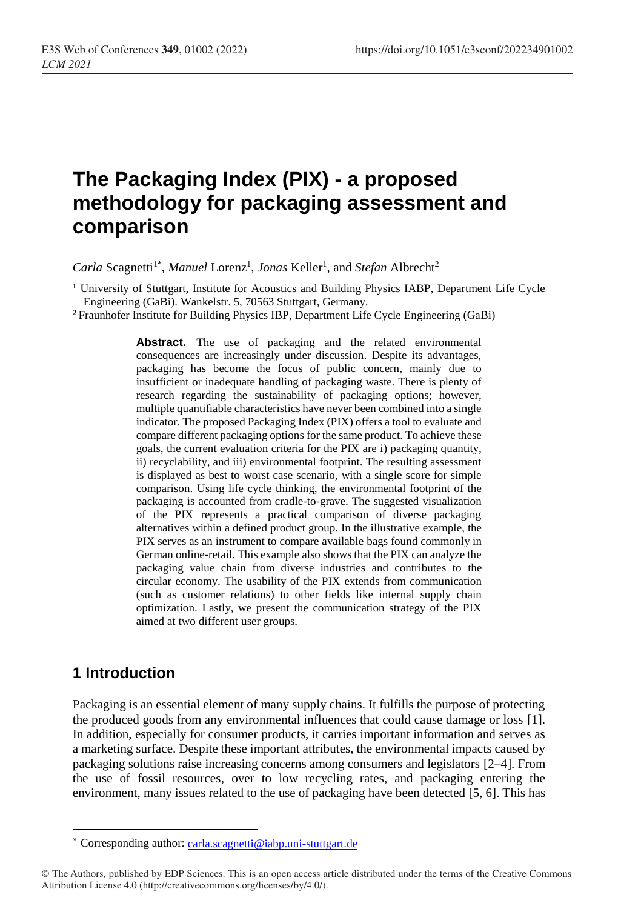# **The Packaging Index (PIX) - a proposed methodology for packaging assessment and comparison**

Carla Scagnetti<sup>1\*</sup>, Manuel Lorenz<sup>1</sup>, Jonas Keller<sup>1</sup>, and Stefan Albrecht<sup>2</sup>

**<sup>1</sup>** University of Stuttgart, Institute for Acoustics and Building Physics IABP, Department Life Cycle Engineering (GaBi). Wankelstr. 5, 70563 Stuttgart, Germany.

**<sup>2</sup>** Fraunhofer Institute for Building Physics IBP, Department Life Cycle Engineering (GaBi)

Abstract. The use of packaging and the related environmental consequences are increasingly under discussion. Despite its advantages, packaging has become the focus of public concern, mainly due to insufficient or inadequate handling of packaging waste. There is plenty of research regarding the sustainability of packaging options; however, multiple quantifiable characteristics have never been combined into a single indicator. The proposed Packaging Index (PIX) offers a tool to evaluate and compare different packaging options for the same product. To achieve these goals, the current evaluation criteria for the PIX are i) packaging quantity, ii) recyclability, and iii) environmental footprint. The resulting assessment is displayed as best to worst case scenario, with a single score for simple comparison. Using life cycle thinking, the environmental footprint of the packaging is accounted from cradle-to-grave. The suggested visualization of the PIX represents a practical comparison of diverse packaging alternatives within a defined product group. In the illustrative example, the PIX serves as an instrument to compare available bags found commonly in German online-retail. This example also shows that the PIX can analyze the packaging value chain from diverse industries and contributes to the circular economy. The usability of the PIX extends from communication (such as customer relations) to other fields like internal supply chain optimization. Lastly, we present the communication strategy of the PIX aimed at two different user groups.

## **1 Introduction**

-

Packaging is an essential element of many supply chains. It fulfills the purpose of protecting the produced goods from any environmental influences that could cause damage or loss [1]. In addition, especially for consumer products, it carries important information and serves as a marketing surface. Despite these important attributes, the environmental impacts caused by packaging solutions raise increasing concerns among consumers and legislators [2–4]. From the use of fossil resources, over to low recycling rates, and packaging entering the environment, many issues related to the use of packaging have been detected [5, 6]. This has

Corresponding author: [carla.scagnetti@iabp.uni-stuttgart.de](mailto:carla.scagnetti@iabp.uni-stuttgart.de)

<sup>©</sup> The Authors, published by EDP Sciences. This is an open access article distributed under the terms of the Creative Commons Attribution License 4.0 (http://creativecommons.org/licenses/by/4.0/).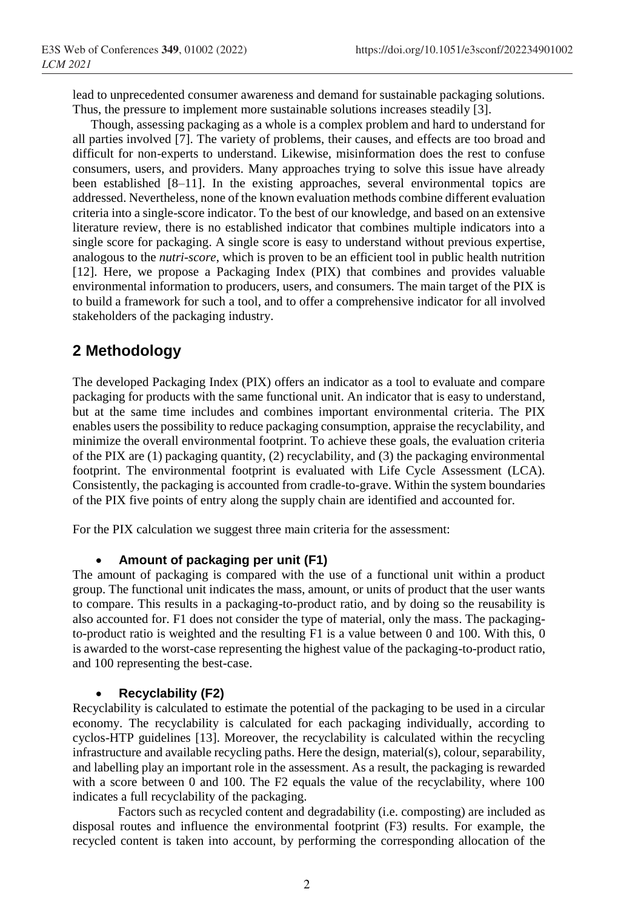lead to unprecedented consumer awareness and demand for sustainable packaging solutions. Thus, the pressure to implement more sustainable solutions increases steadily [3].

Though, assessing packaging as a whole is a complex problem and hard to understand for all parties involved [7]. The variety of problems, their causes, and effects are too broad and difficult for non-experts to understand. Likewise, misinformation does the rest to confuse consumers, users, and providers. Many approaches trying to solve this issue have already been established [8–11]. In the existing approaches, several environmental topics are addressed. Nevertheless, none of the known evaluation methods combine different evaluation criteria into a single-score indicator. To the best of our knowledge, and based on an extensive literature review, there is no established indicator that combines multiple indicators into a single score for packaging. A single score is easy to understand without previous expertise, analogous to the *nutri-score*, which is proven to be an efficient tool in public health nutrition [12]. Here, we propose a Packaging Index (PIX) that combines and provides valuable environmental information to producers, users, and consumers. The main target of the PIX is to build a framework for such a tool, and to offer a comprehensive indicator for all involved stakeholders of the packaging industry.

## **2 Methodology**

The developed Packaging Index (PIX) offers an indicator as a tool to evaluate and compare packaging for products with the same functional unit. An indicator that is easy to understand, but at the same time includes and combines important environmental criteria. The PIX enables users the possibility to reduce packaging consumption, appraise the recyclability, and minimize the overall environmental footprint. To achieve these goals, the evaluation criteria of the PIX are (1) packaging quantity, (2) recyclability, and (3) the packaging environmental footprint. The environmental footprint is evaluated with Life Cycle Assessment (LCA). Consistently, the packaging is accounted from cradle-to-grave. Within the system boundaries of the PIX five points of entry along the supply chain are identified and accounted for.

For the PIX calculation we suggest three main criteria for the assessment:

#### **Amount of packaging per unit (F1)**

The amount of packaging is compared with the use of a functional unit within a product group. The functional unit indicates the mass, amount, or units of product that the user wants to compare. This results in a packaging-to-product ratio, and by doing so the reusability is also accounted for. F1 does not consider the type of material, only the mass. The packagingto-product ratio is weighted and the resulting F1 is a value between 0 and 100. With this, 0 is awarded to the worst-case representing the highest value of the packaging-to-product ratio, and 100 representing the best-case.

#### **Recyclability (F2)**

Recyclability is calculated to estimate the potential of the packaging to be used in a circular economy. The recyclability is calculated for each packaging individually, according to cyclos-HTP guidelines [13]. Moreover, the recyclability is calculated within the recycling infrastructure and available recycling paths. Here the design, material(s), colour, separability, and labelling play an important role in the assessment. As a result, the packaging is rewarded with a score between 0 and 100. The F2 equals the value of the recyclability, where 100 indicates a full recyclability of the packaging.

Factors such as recycled content and degradability (i.e. composting) are included as disposal routes and influence the environmental footprint (F3) results. For example, the recycled content is taken into account, by performing the corresponding allocation of the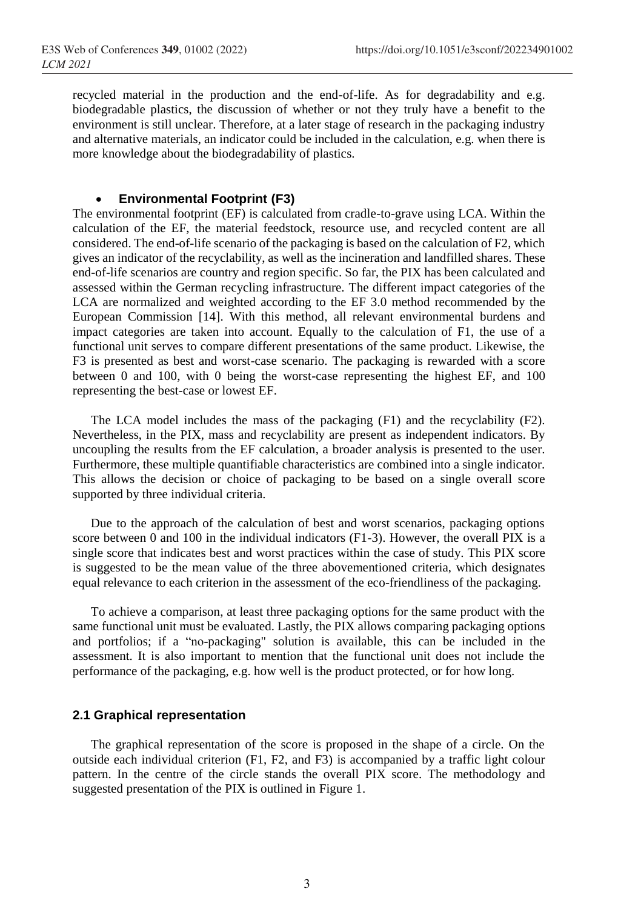recycled material in the production and the end-of-life. As for degradability and e.g. biodegradable plastics, the discussion of whether or not they truly have a benefit to the environment is still unclear. Therefore, at a later stage of research in the packaging industry and alternative materials, an indicator could be included in the calculation, e.g. when there is more knowledge about the biodegradability of plastics.

#### **Environmental Footprint (F3)**

The environmental footprint (EF) is calculated from cradle-to-grave using LCA. Within the calculation of the EF, the material feedstock, resource use, and recycled content are all considered. The end-of-life scenario of the packaging is based on the calculation of F2, which gives an indicator of the recyclability, as well as the incineration and landfilled shares. These end-of-life scenarios are country and region specific. So far, the PIX has been calculated and assessed within the German recycling infrastructure. The different impact categories of the LCA are normalized and weighted according to the EF 3.0 method recommended by the European Commission [14]. With this method, all relevant environmental burdens and impact categories are taken into account. Equally to the calculation of F1, the use of a functional unit serves to compare different presentations of the same product. Likewise, the F3 is presented as best and worst-case scenario. The packaging is rewarded with a score between 0 and 100, with 0 being the worst-case representing the highest EF, and 100 representing the best-case or lowest EF.

The LCA model includes the mass of the packaging (F1) and the recyclability (F2). Nevertheless, in the PIX, mass and recyclability are present as independent indicators. By uncoupling the results from the EF calculation, a broader analysis is presented to the user. Furthermore, these multiple quantifiable characteristics are combined into a single indicator. This allows the decision or choice of packaging to be based on a single overall score supported by three individual criteria.

Due to the approach of the calculation of best and worst scenarios, packaging options score between 0 and 100 in the individual indicators (F1-3). However, the overall PIX is a single score that indicates best and worst practices within the case of study. This PIX score is suggested to be the mean value of the three abovementioned criteria, which designates equal relevance to each criterion in the assessment of the eco-friendliness of the packaging.

To achieve a comparison, at least three packaging options for the same product with the same functional unit must be evaluated. Lastly, the PIX allows comparing packaging options and portfolios; if a "no-packaging" solution is available, this can be included in the assessment. It is also important to mention that the functional unit does not include the performance of the packaging, e.g. how well is the product protected, or for how long.

#### **2.1 Graphical representation**

The graphical representation of the score is proposed in the shape of a circle. On the outside each individual criterion (F1, F2, and F3) is accompanied by a traffic light colour pattern. In the centre of the circle stands the overall PIX score. The methodology and suggested presentation of the PIX is outlined in Figure 1.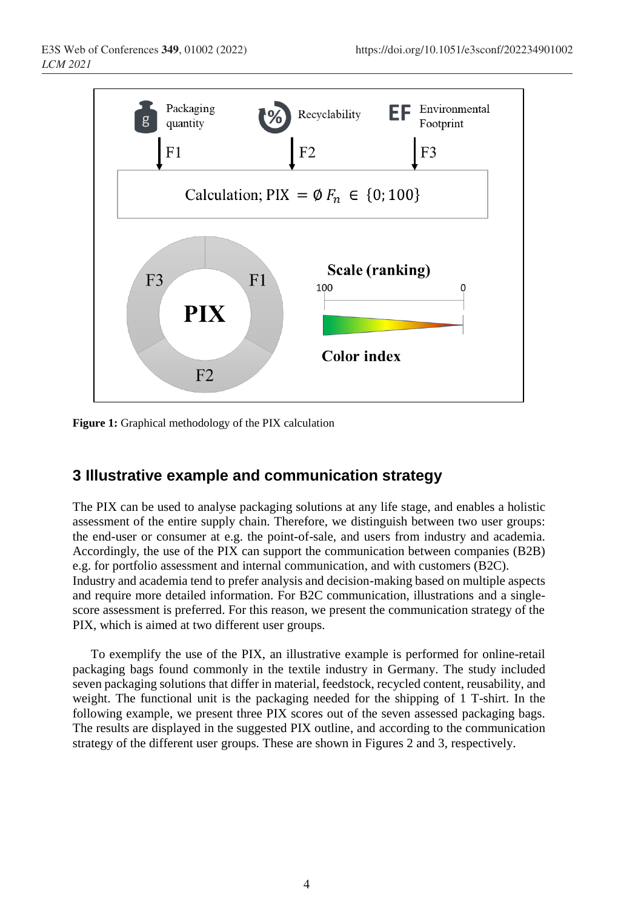

**Figure 1:** Graphical methodology of the PIX calculation

# **3 Illustrative example and communication strategy**

The PIX can be used to analyse packaging solutions at any life stage, and enables a holistic assessment of the entire supply chain. Therefore, we distinguish between two user groups: the end-user or consumer at e.g. the point-of-sale, and users from industry and academia. Accordingly, the use of the PIX can support the communication between companies (B2B) e.g. for portfolio assessment and internal communication, and with customers (B2C). Industry and academia tend to prefer analysis and decision-making based on multiple aspects

and require more detailed information. For B2C communication, illustrations and a singlescore assessment is preferred. For this reason, we present the communication strategy of the PIX, which is aimed at two different user groups.

To exemplify the use of the PIX, an illustrative example is performed for online-retail packaging bags found commonly in the textile industry in Germany. The study included seven packaging solutions that differ in material, feedstock, recycled content, reusability, and weight. The functional unit is the packaging needed for the shipping of 1 T-shirt. In the following example, we present three PIX scores out of the seven assessed packaging bags. The results are displayed in the suggested PIX outline, and according to the communication strategy of the different user groups. These are shown in Figures 2 and 3, respectively.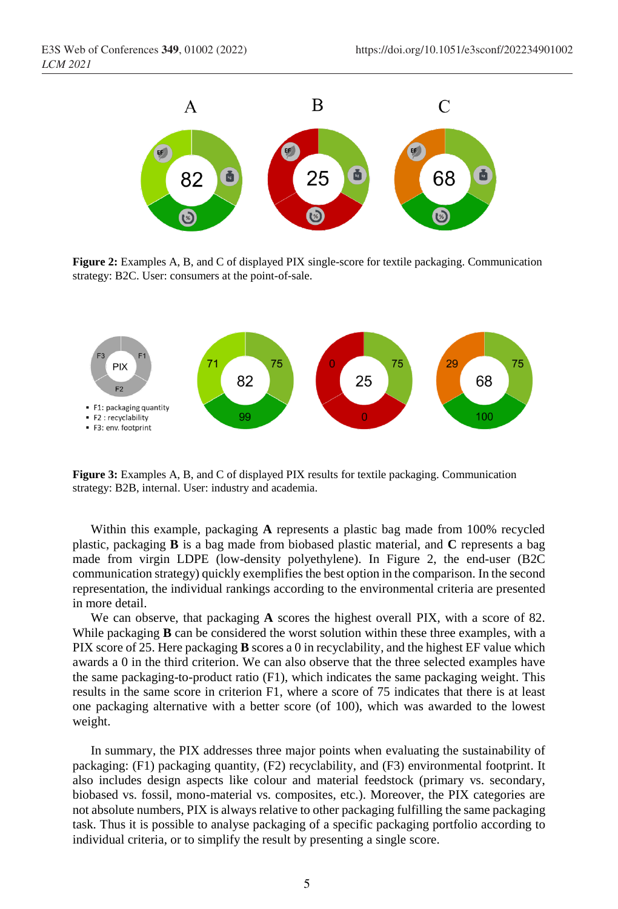

**Figure 2:** Examples A, B, and C of displayed PIX single-score for textile packaging. Communication strategy: B2C. User: consumers at the point-of-sale.



**Figure 3:** Examples A, B, and C of displayed PIX results for textile packaging. Communication strategy: B2B, internal. User: industry and academia.

Within this example, packaging **A** represents a plastic bag made from 100% recycled plastic, packaging **B** is a bag made from biobased plastic material, and **C** represents a bag made from virgin LDPE (low-density polyethylene). In Figure 2, the end-user (B2C communication strategy) quickly exemplifies the best option in the comparison. In the second representation, the individual rankings according to the environmental criteria are presented in more detail.

We can observe, that packaging **A** scores the highest overall PIX, with a score of 82. While packaging **B** can be considered the worst solution within these three examples, with a PIX score of 25. Here packaging **B** scores a 0 in recyclability, and the highest EF value which awards a 0 in the third criterion. We can also observe that the three selected examples have the same packaging-to-product ratio (F1), which indicates the same packaging weight. This results in the same score in criterion F1, where a score of 75 indicates that there is at least one packaging alternative with a better score (of 100), which was awarded to the lowest weight.

In summary, the PIX addresses three major points when evaluating the sustainability of packaging: (F1) packaging quantity, (F2) recyclability, and (F3) environmental footprint. It also includes design aspects like colour and material feedstock (primary vs. secondary, biobased vs. fossil, mono-material vs. composites, etc.). Moreover, the PIX categories are not absolute numbers, PIX is always relative to other packaging fulfilling the same packaging task. Thus it is possible to analyse packaging of a specific packaging portfolio according to individual criteria, or to simplify the result by presenting a single score.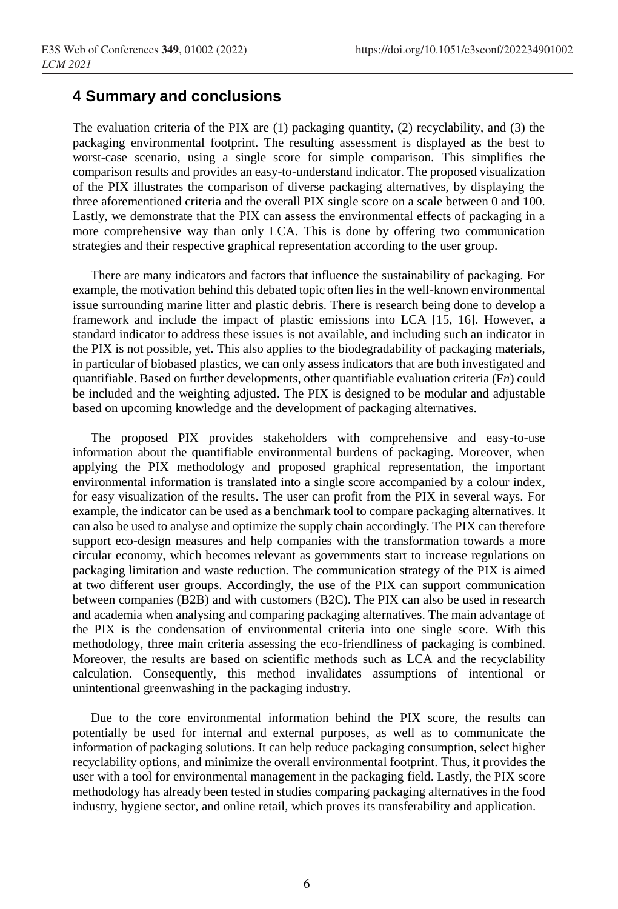### **4 Summary and conclusions**

The evaluation criteria of the PIX are  $(1)$  packaging quantity,  $(2)$  recyclability, and  $(3)$  the packaging environmental footprint. The resulting assessment is displayed as the best to worst-case scenario, using a single score for simple comparison. This simplifies the comparison results and provides an easy-to-understand indicator. The proposed visualization of the PIX illustrates the comparison of diverse packaging alternatives, by displaying the three aforementioned criteria and the overall PIX single score on a scale between 0 and 100. Lastly, we demonstrate that the PIX can assess the environmental effects of packaging in a more comprehensive way than only LCA. This is done by offering two communication strategies and their respective graphical representation according to the user group.

There are many indicators and factors that influence the sustainability of packaging. For example, the motivation behind this debated topic often lies in the well-known environmental issue surrounding marine litter and plastic debris. There is research being done to develop a framework and include the impact of plastic emissions into LCA [15, 16]. However, a standard indicator to address these issues is not available, and including such an indicator in the PIX is not possible, yet. This also applies to the biodegradability of packaging materials, in particular of biobased plastics, we can only assess indicators that are both investigated and quantifiable. Based on further developments, other quantifiable evaluation criteria (F*n*) could be included and the weighting adjusted. The PIX is designed to be modular and adjustable based on upcoming knowledge and the development of packaging alternatives.

The proposed PIX provides stakeholders with comprehensive and easy-to-use information about the quantifiable environmental burdens of packaging. Moreover, when applying the PIX methodology and proposed graphical representation, the important environmental information is translated into a single score accompanied by a colour index, for easy visualization of the results. The user can profit from the PIX in several ways. For example, the indicator can be used as a benchmark tool to compare packaging alternatives. It can also be used to analyse and optimize the supply chain accordingly. The PIX can therefore support eco-design measures and help companies with the transformation towards a more circular economy, which becomes relevant as governments start to increase regulations on packaging limitation and waste reduction. The communication strategy of the PIX is aimed at two different user groups. Accordingly, the use of the PIX can support communication between companies (B2B) and with customers (B2C). The PIX can also be used in research and academia when analysing and comparing packaging alternatives. The main advantage of the PIX is the condensation of environmental criteria into one single score. With this methodology, three main criteria assessing the eco-friendliness of packaging is combined. Moreover, the results are based on scientific methods such as LCA and the recyclability calculation. Consequently, this method invalidates assumptions of intentional or unintentional greenwashing in the packaging industry.

Due to the core environmental information behind the PIX score, the results can potentially be used for internal and external purposes, as well as to communicate the information of packaging solutions. It can help reduce packaging consumption, select higher recyclability options, and minimize the overall environmental footprint. Thus, it provides the user with a tool for environmental management in the packaging field. Lastly, the PIX score methodology has already been tested in studies comparing packaging alternatives in the food industry, hygiene sector, and online retail, which proves its transferability and application.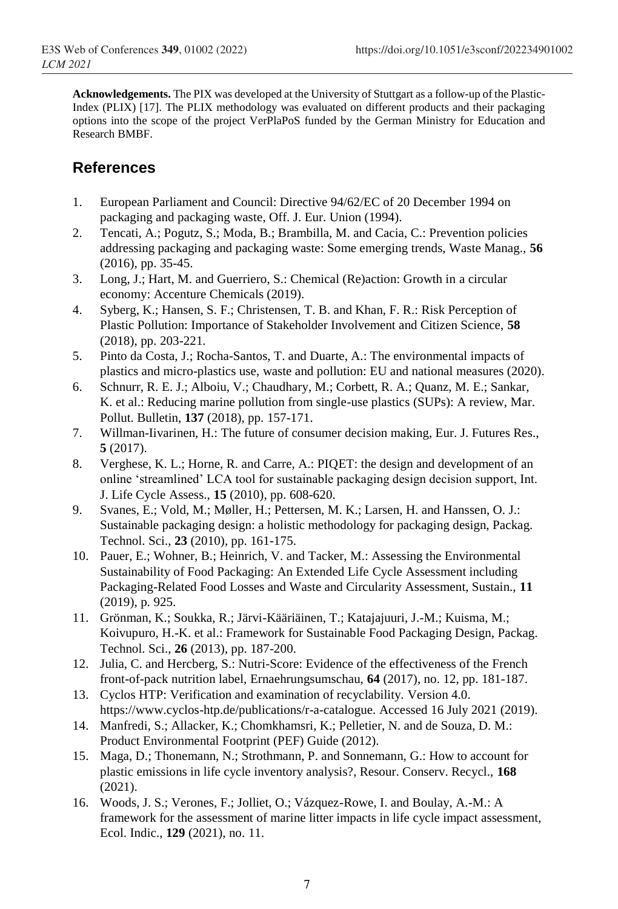**Acknowledgements.** The PIX was developed at the University of Stuttgart as a follow-up of the Plastic-Index (PLIX) [17]. The PLIX methodology was evaluated on different products and their packaging options into the scope of the project VerPlaPoS funded by the German Ministry for Education and Research BMBF.

## **References**

- 1. European Parliament and Council: Directive 94/62/EC of 20 December 1994 on packaging and packaging waste, Off. J. Eur. Union (1994).
- 2. Tencati, A.; Pogutz, S.; Moda, B.; Brambilla, M. and Cacia, C.: Prevention policies addressing packaging and packaging waste: Some emerging trends, Waste Manag., **56** (2016), pp. 35-45.
- 3. Long, J.; Hart, M. and Guerriero, S.: Chemical (Re)action: Growth in a circular economy: Accenture Chemicals (2019).
- 4. Syberg, K.; Hansen, S. F.; Christensen, T. B. and Khan, F. R.: Risk Perception of Plastic Pollution: Importance of Stakeholder Involvement and Citizen Science, **58** (2018), pp. 203-221.
- 5. Pinto da Costa, J.; Rocha-Santos, T. and Duarte, A.: The environmental impacts of plastics and micro-plastics use, waste and pollution: EU and national measures (2020).
- 6. Schnurr, R. E. J.; Alboiu, V.; Chaudhary, M.; Corbett, R. A.; Quanz, M. E.; Sankar, K. et al.: Reducing marine pollution from single-use plastics (SUPs): A review, Mar. Pollut. Bulletin, **137** (2018), pp. 157-171.
- 7. Willman-Iivarinen, H.: The future of consumer decision making, Eur. J. Futures Res., **5** (2017).
- 8. Verghese, K. L.; Horne, R. and Carre, A.: PIQET: the design and development of an online 'streamlined' LCA tool for sustainable packaging design decision support, Int. J. Life Cycle Assess., **15** (2010), pp. 608-620.
- 9. Svanes, E.; Vold, M.; Møller, H.; Pettersen, M. K.; Larsen, H. and Hanssen, O. J.: Sustainable packaging design: a holistic methodology for packaging design, Packag. Technol. Sci., **23** (2010), pp. 161-175.
- 10. Pauer, E.; Wohner, B.; Heinrich, V. and Tacker, M.: Assessing the Environmental Sustainability of Food Packaging: An Extended Life Cycle Assessment including Packaging-Related Food Losses and Waste and Circularity Assessment, Sustain., **11** (2019), p. 925.
- 11. Grönman, K.; Soukka, R.; Järvi-Kääriäinen, T.; Katajajuuri, J.-M.; Kuisma, M.; Koivupuro, H.-K. et al.: Framework for Sustainable Food Packaging Design, Packag. Technol. Sci., **26** (2013), pp. 187-200.
- 12. Julia, C. and Hercberg, S.: Nutri-Score: Evidence of the effectiveness of the French front-of-pack nutrition label, Ernaehrungsumschau, **64** (2017), no. 12, pp. 181-187.
- 13. Cyclos HTP: Verification and examination of recyclability. Version 4.0. https://www.cyclos-htp.de/publications/r-a-catalogue. Accessed 16 July 2021 (2019).
- 14. Manfredi, S.; Allacker, K.; Chomkhamsri, K.; Pelletier, N. and de Souza, D. M.: Product Environmental Footprint (PEF) Guide (2012).
- 15. Maga, D.; Thonemann, N.; Strothmann, P. and Sonnemann, G.: How to account for plastic emissions in life cycle inventory analysis?, Resour. Conserv. Recycl., **168** (2021).
- 16. Woods, J. S.; Verones, F.; Jolliet, O.; Vázquez-Rowe, I. and Boulay, A.-M.: A framework for the assessment of marine litter impacts in life cycle impact assessment, Ecol. Indic., **129** (2021), no. 11.